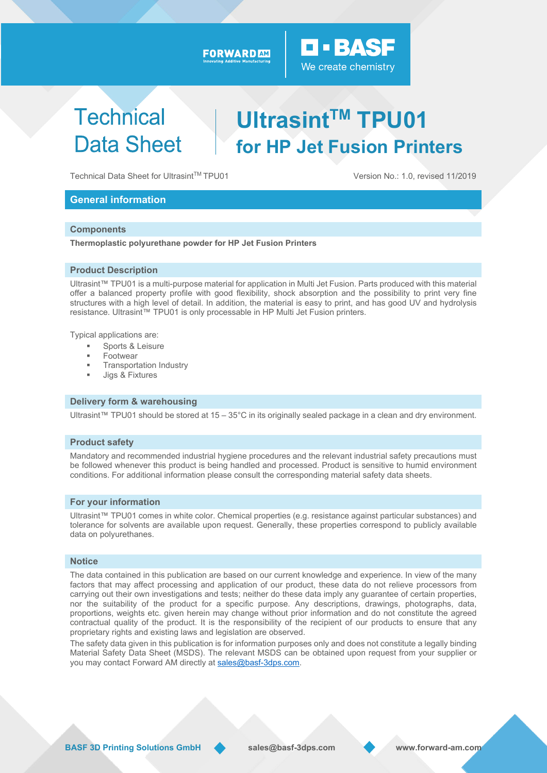## FORWARD AM

### We create chemistry

O BASS

# **Technical Data Sheet**

# **UltrasintTM TPU01 for HP Jet Fusion Printers**

Technical Data Sheet for Ultrasint™ TPU01 Version No.: 1.0, revised 11/2019

## **General information**

#### **Components**

**Thermoplastic polyurethane powder for HP Jet Fusion Printers** 

#### **Product Description**

Ultrasint™ TPU01 is a multi-purpose material for application in Multi Jet Fusion. Parts produced with this material offer a balanced property profile with good flexibility, shock absorption and the possibility to print very fine structures with a high level of detail. In addition, the material is easy to print, and has good UV and hydrolysis resistance. Ultrasint™ TPU01 is only processable in HP Multi Jet Fusion printers.

Typical applications are:

- Sports & Leisure
- Footwear
- Transportation Industry
- Jigs & Fixtures

#### **Delivery form & warehousing**

Ultrasint™ TPU01 should be stored at 15 – 35°C in its originally sealed package in a clean and dry environment.

#### **Product safety**

Mandatory and recommended industrial hygiene procedures and the relevant industrial safety precautions must be followed whenever this product is being handled and processed. Product is sensitive to humid environment conditions. For additional information please consult the corresponding material safety data sheets.

#### **For your information**

Ultrasint™ TPU01 comes in white color. Chemical properties (e.g. resistance against particular substances) and tolerance for solvents are available upon request. Generally, these properties correspond to publicly available data on polyurethanes.

#### **Notice**

The data contained in this publication are based on our current knowledge and experience. In view of the many factors that may affect processing and application of our product, these data do not relieve processors from carrying out their own investigations and tests; neither do these data imply any guarantee of certain properties, nor the suitability of the product for a specific purpose. Any descriptions, drawings, photographs, data, proportions, weights etc. given herein may change without prior information and do not constitute the agreed contractual quality of the product. It is the responsibility of the recipient of our products to ensure that any proprietary rights and existing laws and legislation are observed.

The safety data given in this publication is for information purposes only and does not constitute a legally binding Material Safety Data Sheet (MSDS). The relevant MSDS can be obtained upon request from your supplier or you may contact Forward AM directly at sales@basf-3dps.com.

**BASF 3D Printing Solutions GmbH sales@basf-3dps.com www.forward-am.com**